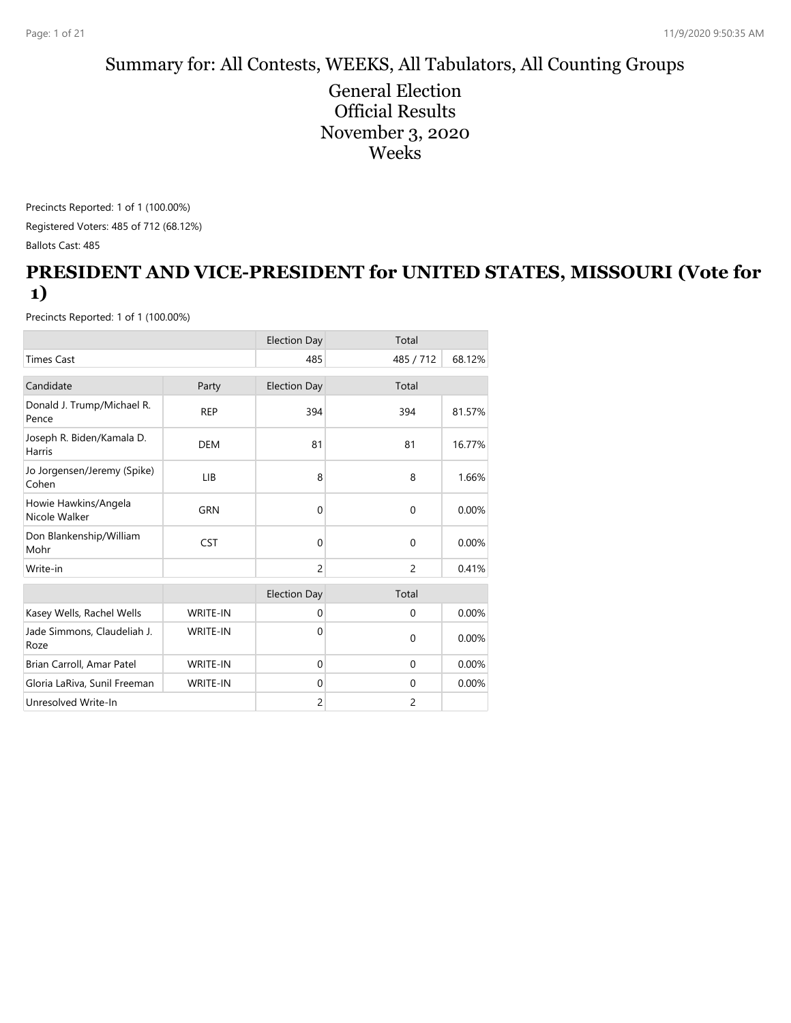### Summary for: All Contests, WEEKS, All Tabulators, All Counting Groups

General Election Official Results November 3, 2020 Weeks

Precincts Reported: 1 of 1 (100.00%) Registered Voters: 485 of 712 (68.12%) Ballots Cast: 485

#### **PRESIDENT AND VICE-PRESIDENT for UNITED STATES, MISSOURI (Vote for 1)**

|                                       |                 | <b>Election Day</b> | Total          |        |
|---------------------------------------|-----------------|---------------------|----------------|--------|
| <b>Times Cast</b>                     |                 | 485                 | 485 / 712      | 68.12% |
| Candidate                             | Party           | <b>Election Day</b> | Total          |        |
| Donald J. Trump/Michael R.<br>Pence   | <b>REP</b>      | 394                 | 394            | 81.57% |
| Joseph R. Biden/Kamala D.<br>Harris   | <b>DEM</b>      | 81                  | 81             | 16.77% |
| Jo Jorgensen/Jeremy (Spike)<br>Cohen  | LIB             | 8                   | 8              | 1.66%  |
| Howie Hawkins/Angela<br>Nicole Walker | <b>GRN</b>      | $\Omega$            | $\Omega$       | 0.00%  |
| Don Blankenship/William<br>Mohr       | <b>CST</b>      | $\Omega$            | $\Omega$       | 0.00%  |
| Write-in                              |                 | $\overline{c}$      | $\overline{c}$ | 0.41%  |
|                                       |                 | <b>Election Day</b> | Total          |        |
| Kasey Wells, Rachel Wells             | <b>WRITE-IN</b> | $\mathbf{0}$        | $\mathbf{0}$   | 0.00%  |
| Jade Simmons, Claudeliah J.<br>Roze   | <b>WRITE-IN</b> | $\Omega$            | $\mathbf{0}$   | 0.00%  |
| Brian Carroll, Amar Patel             | <b>WRITE-IN</b> | $\Omega$            | $\Omega$       | 0.00%  |
| Gloria LaRiva, Sunil Freeman          | <b>WRITE-IN</b> | $\mathbf{0}$        | $\mathbf{0}$   | 0.00%  |
| Unresolved Write-In                   |                 | 2                   | $\overline{2}$ |        |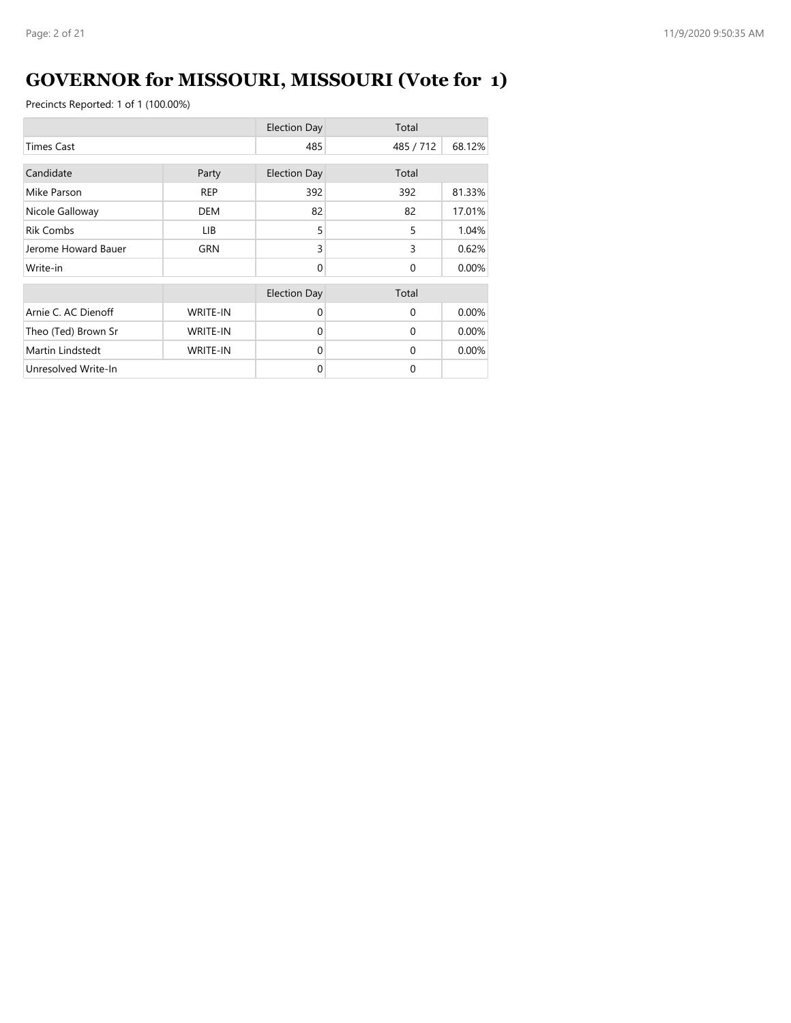# **GOVERNOR for MISSOURI, MISSOURI (Vote for 1)**

|                     |                 | <b>Election Day</b> | Total        |        |
|---------------------|-----------------|---------------------|--------------|--------|
| <b>Times Cast</b>   |                 | 485                 | 485 / 712    | 68.12% |
| Candidate           | Party           | <b>Election Day</b> | Total        |        |
| Mike Parson         | <b>REP</b>      | 392                 | 392          | 81.33% |
| Nicole Galloway     | <b>DEM</b>      | 82                  | 82           | 17.01% |
| <b>Rik Combs</b>    | LIB.            | 5                   | 5            | 1.04%  |
| Jerome Howard Bauer | <b>GRN</b>      | 3                   | 3            | 0.62%  |
| Write-in            |                 | $\Omega$            | $\mathbf{0}$ | 0.00%  |
|                     |                 | <b>Election Day</b> | Total        |        |
| Arnie C. AC Dienoff | <b>WRITE-IN</b> | $\Omega$            | $\Omega$     | 0.00%  |
| Theo (Ted) Brown Sr | <b>WRITE-IN</b> | $\Omega$            | $\Omega$     | 0.00%  |
| Martin Lindstedt    | <b>WRITE-IN</b> | $\Omega$            | $\Omega$     | 0.00%  |
| Unresolved Write-In |                 | $\Omega$            | $\Omega$     |        |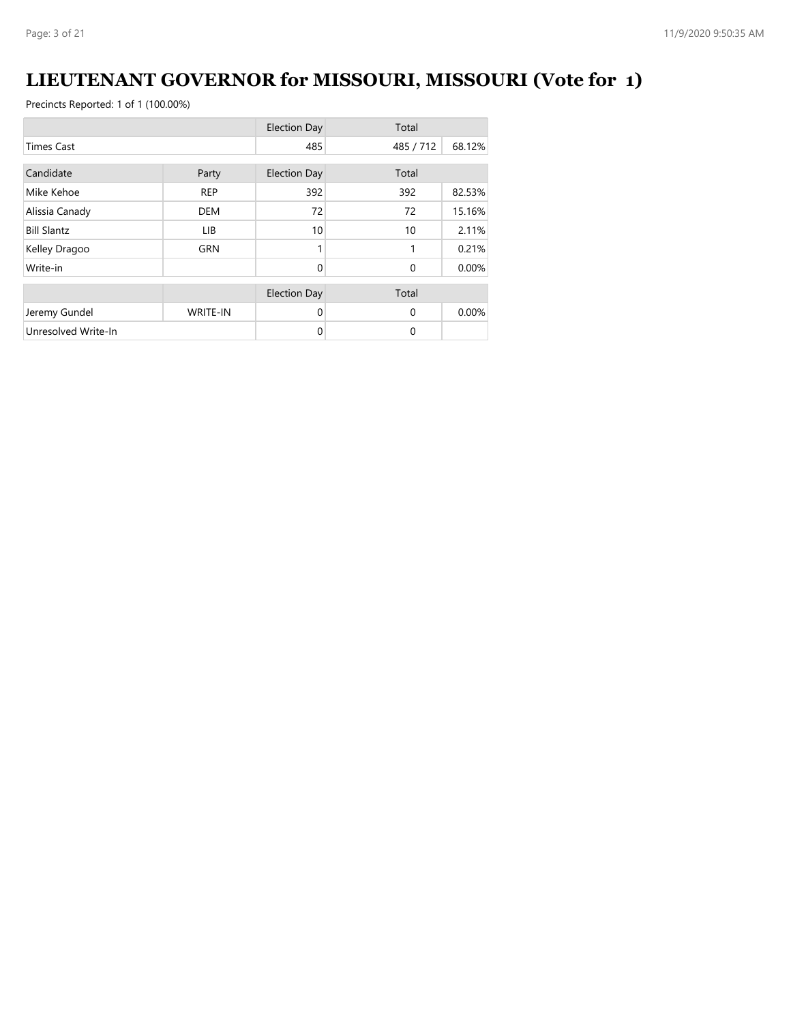# **LIEUTENANT GOVERNOR for MISSOURI, MISSOURI (Vote for 1)**

|                     |                 | <b>Election Day</b> | Total     |        |
|---------------------|-----------------|---------------------|-----------|--------|
| <b>Times Cast</b>   |                 | 485                 | 485 / 712 | 68.12% |
| Candidate           | Party           | <b>Election Day</b> | Total     |        |
|                     |                 |                     |           |        |
| Mike Kehoe          | <b>REP</b>      | 392                 | 392       | 82.53% |
| Alissia Canady      | <b>DEM</b>      | 72                  | 72        | 15.16% |
| <b>Bill Slantz</b>  | LIB             | 10                  | 10        | 2.11%  |
| Kelley Dragoo       | <b>GRN</b>      |                     | 1         | 0.21%  |
| Write-in            |                 | $\Omega$            | $\Omega$  | 0.00%  |
|                     |                 | <b>Election Day</b> | Total     |        |
| Jeremy Gundel       | <b>WRITE-IN</b> | $\Omega$            | $\Omega$  | 0.00%  |
| Unresolved Write-In |                 | $\mathbf 0$         | $\Omega$  |        |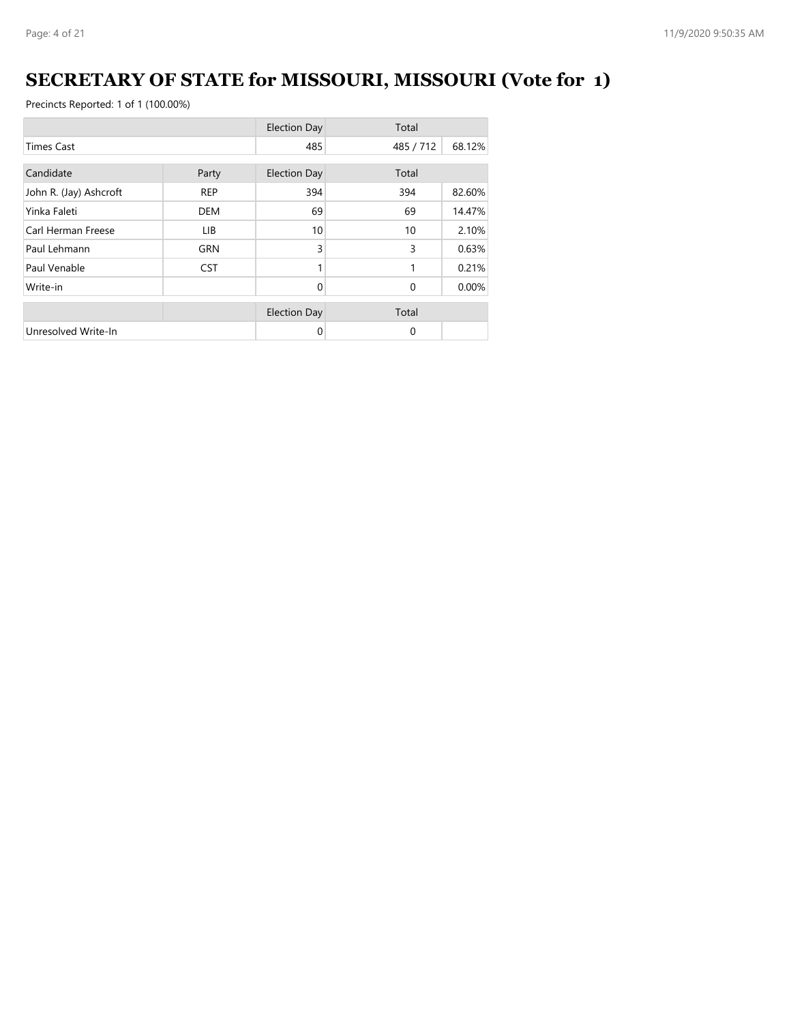# **SECRETARY OF STATE for MISSOURI, MISSOURI (Vote for 1)**

|                        |            | <b>Election Day</b> | Total     |        |
|------------------------|------------|---------------------|-----------|--------|
| <b>Times Cast</b>      |            | 485                 | 485 / 712 | 68.12% |
| Candidate              | Party      | <b>Election Day</b> | Total     |        |
| John R. (Jay) Ashcroft | <b>REP</b> | 394                 | 394       | 82.60% |
| Yinka Faleti           | <b>DEM</b> | 69                  | 69        | 14.47% |
| Carl Herman Freese     | LIB        | 10                  | 10        | 2.10%  |
| Paul Lehmann           | <b>GRN</b> | 3                   | 3         | 0.63%  |
| Paul Venable           | <b>CST</b> |                     | 1         | 0.21%  |
| Write-in               |            | $\Omega$            | $\Omega$  | 0.00%  |
|                        |            | <b>Election Day</b> | Total     |        |
| Unresolved Write-In    |            | 0                   | $\Omega$  |        |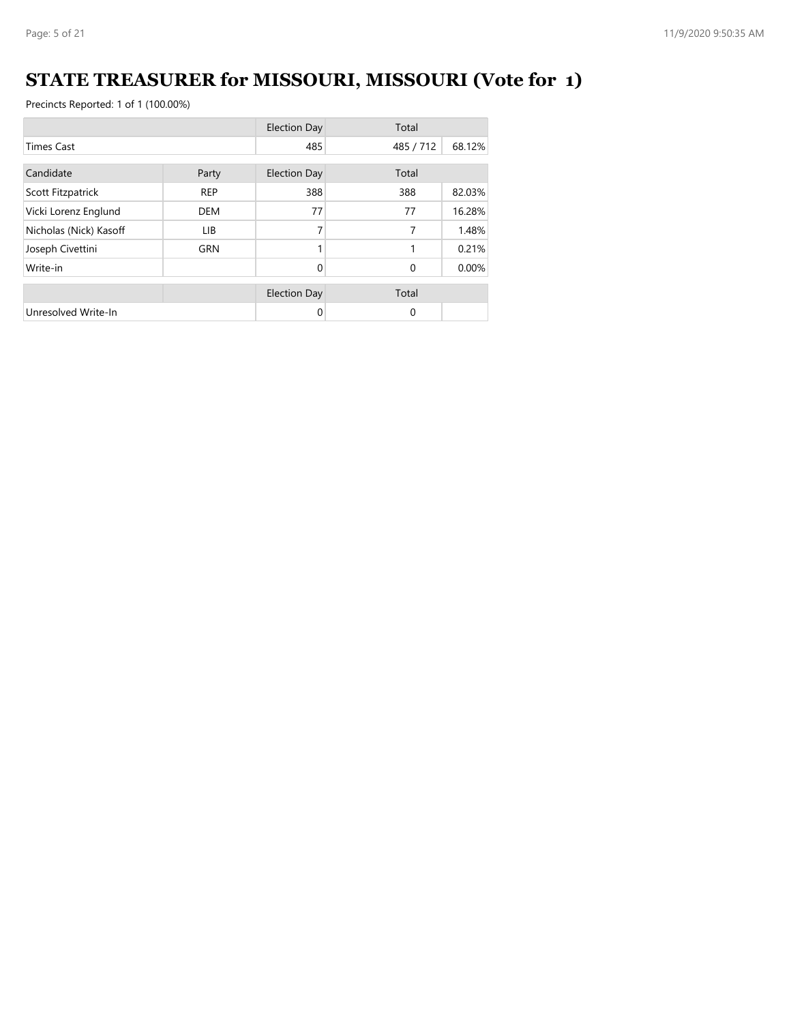# **STATE TREASURER for MISSOURI, MISSOURI (Vote for 1)**

|                        |            | <b>Election Day</b> | Total     |        |
|------------------------|------------|---------------------|-----------|--------|
| <b>Times Cast</b>      |            | 485                 | 485 / 712 | 68.12% |
| Candidate              | Party      | <b>Election Day</b> | Total     |        |
| Scott Fitzpatrick      | <b>REP</b> | 388                 | 388       | 82.03% |
| Vicki Lorenz Englund   | <b>DEM</b> | 77                  | 77        | 16.28% |
| Nicholas (Nick) Kasoff | LIB.       | 7                   | 7         | 1.48%  |
| Joseph Civettini       | <b>GRN</b> | 1                   | 1         | 0.21%  |
| Write-in               |            | $\Omega$            | $\Omega$  | 0.00%  |
|                        |            | <b>Election Day</b> | Total     |        |
| Unresolved Write-In    |            | 0                   | $\Omega$  |        |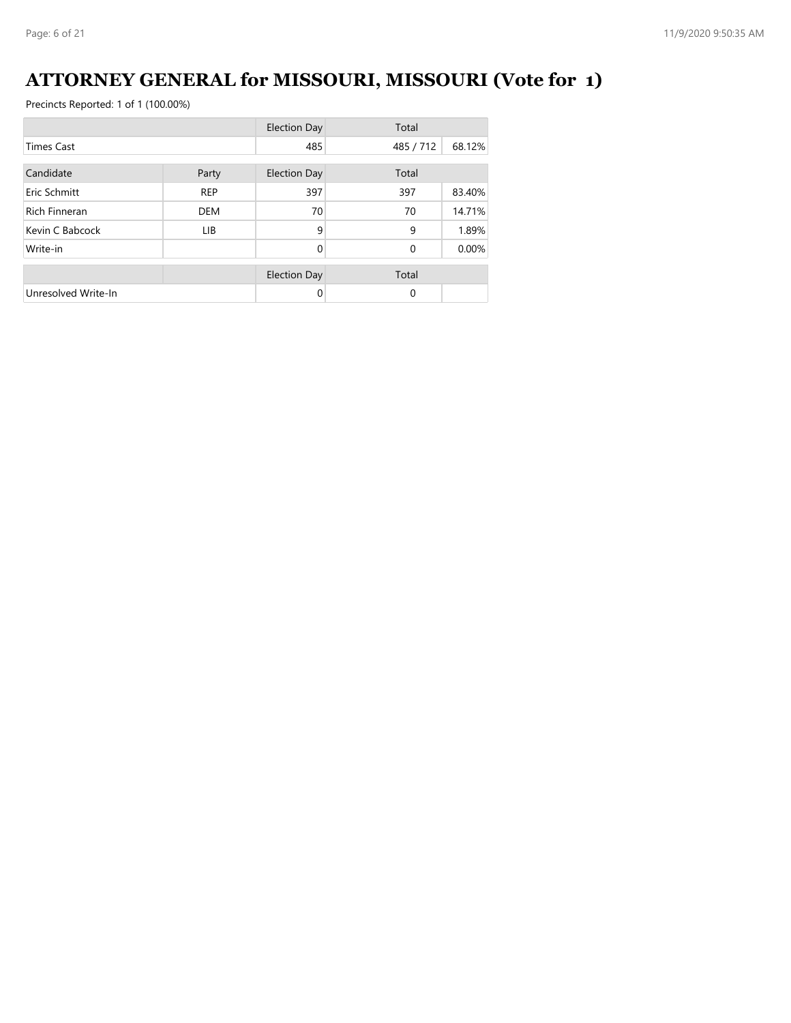# **ATTORNEY GENERAL for MISSOURI, MISSOURI (Vote for 1)**

|                      |            | <b>Election Day</b> | Total        |        |
|----------------------|------------|---------------------|--------------|--------|
| <b>Times Cast</b>    |            | 485                 | 485 / 712    | 68.12% |
| Candidate            | Party      | <b>Election Day</b> | Total        |        |
| Eric Schmitt         | <b>REP</b> | 397                 | 397          | 83.40% |
| <b>Rich Finneran</b> | <b>DEM</b> | 70                  | 70           | 14.71% |
| Kevin C Babcock      | LIB.       | 9                   | 9            | 1.89%  |
| Write-in             |            | $\Omega$            | $\mathbf{0}$ | 0.00%  |
|                      |            | <b>Election Day</b> | Total        |        |
| Unresolved Write-In  |            | 0                   | $\Omega$     |        |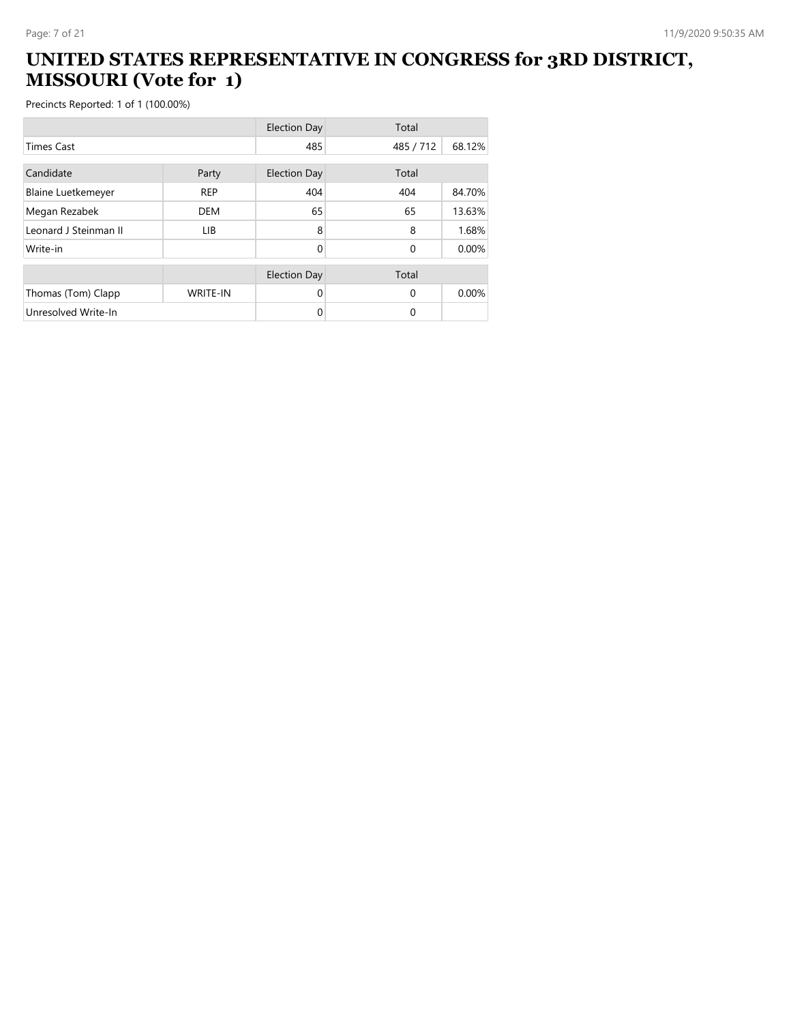#### **UNITED STATES REPRESENTATIVE IN CONGRESS for 3RD DISTRICT, MISSOURI (Vote for 1)**

|                           |                 | <b>Election Day</b> | Total     |        |
|---------------------------|-----------------|---------------------|-----------|--------|
| <b>Times Cast</b>         |                 | 485                 | 485 / 712 | 68.12% |
| Candidate                 | Party           | <b>Election Day</b> | Total     |        |
| <b>Blaine Luetkemeyer</b> | <b>REP</b>      | 404                 | 404       | 84.70% |
| Megan Rezabek             | <b>DEM</b>      | 65                  | 65        | 13.63% |
| Leonard J Steinman II     | <b>LIB</b>      | 8                   | 8         | 1.68%  |
| Write-in                  |                 | $\Omega$            | $\Omega$  | 0.00%  |
|                           |                 | <b>Election Day</b> | Total     |        |
| Thomas (Tom) Clapp        | <b>WRITE-IN</b> | 0                   | $\Omega$  | 0.00%  |
| Unresolved Write-In       |                 | 0                   | 0         |        |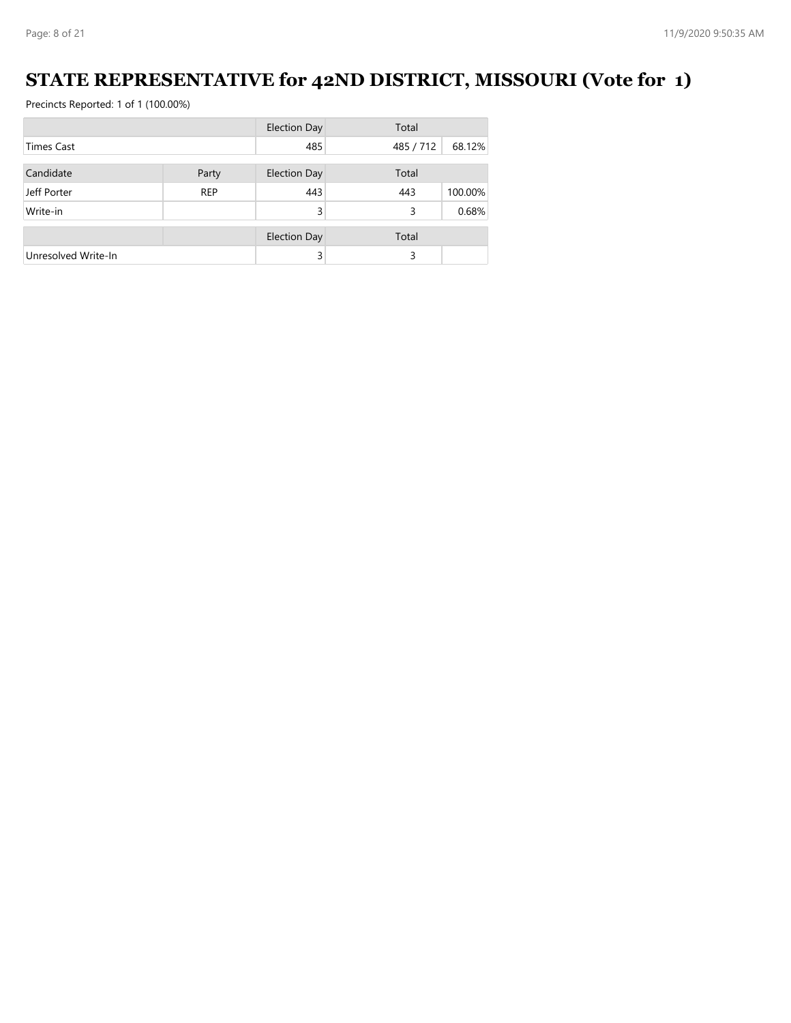## **STATE REPRESENTATIVE for 42ND DISTRICT, MISSOURI (Vote for 1)**

|                     |            | <b>Election Day</b> | Total     |         |
|---------------------|------------|---------------------|-----------|---------|
| <b>Times Cast</b>   |            | 485                 | 485 / 712 | 68.12%  |
|                     |            |                     |           |         |
| Candidate           | Party      | Election Day        | Total     |         |
| Jeff Porter         | <b>REP</b> | 443                 | 443       | 100.00% |
| Write-in            |            | 3                   | 3         | 0.68%   |
|                     |            |                     |           |         |
|                     |            | <b>Election Day</b> | Total     |         |
| Unresolved Write-In |            | 3                   | 3         |         |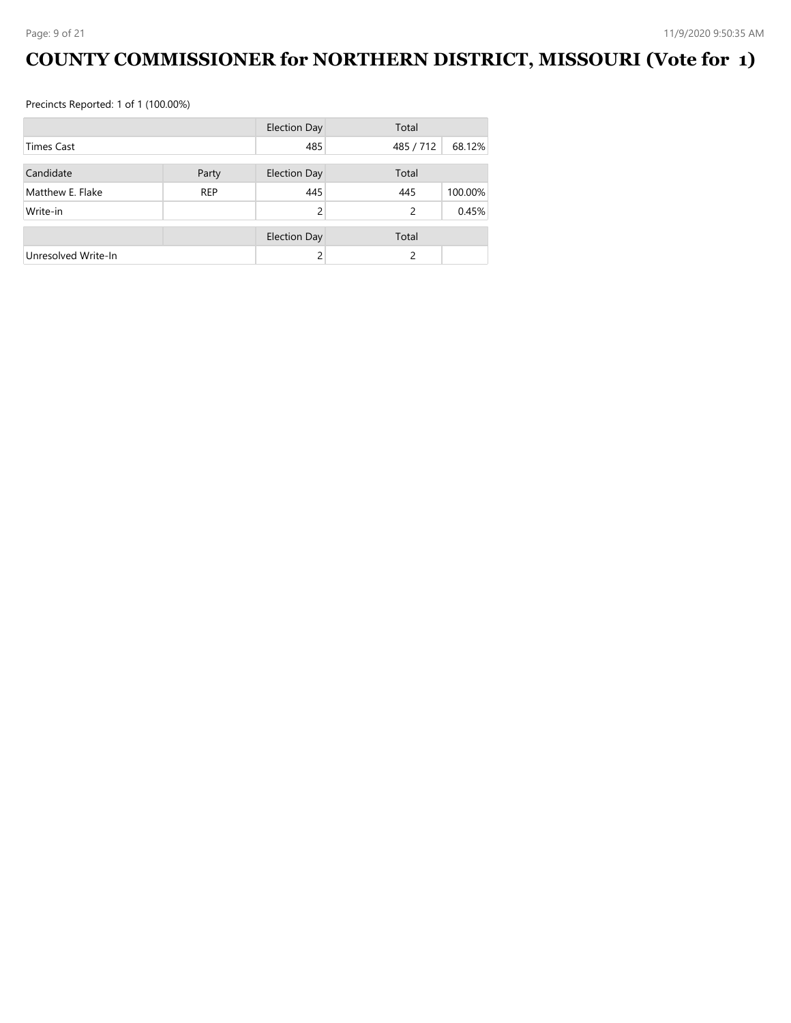# **COUNTY COMMISSIONER for NORTHERN DISTRICT, MISSOURI (Vote for 1)**

|                     |            | Election Day        | Total     |         |
|---------------------|------------|---------------------|-----------|---------|
| <b>Times Cast</b>   |            | 485                 | 485 / 712 | 68.12%  |
| Candidate           | Party      | <b>Election Day</b> | Total     |         |
| Matthew E. Flake    | <b>REP</b> | 445                 | 445       | 100.00% |
| Write-in            |            | $\mathcal{P}$       | 2         | 0.45%   |
|                     |            |                     |           |         |
|                     |            | <b>Election Day</b> | Total     |         |
| Unresolved Write-In |            |                     | 2         |         |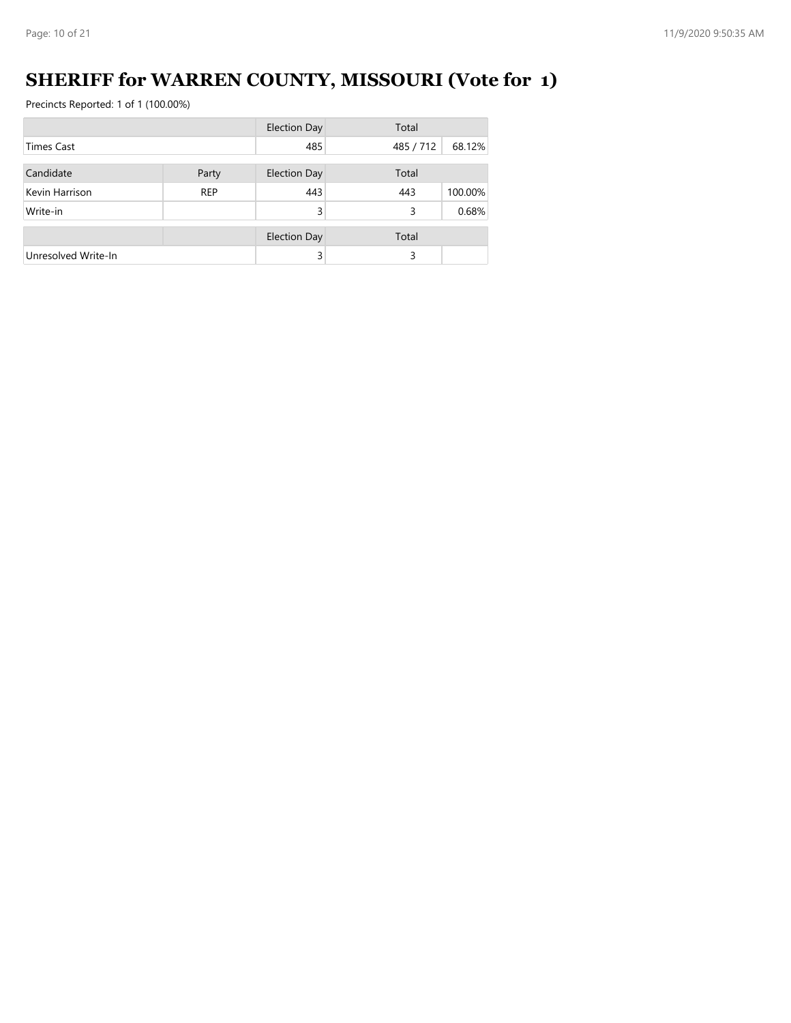# **SHERIFF for WARREN COUNTY, MISSOURI (Vote for 1)**

|                     |            | <b>Election Day</b> | Total     |         |
|---------------------|------------|---------------------|-----------|---------|
| <b>Times Cast</b>   |            | 485                 | 485 / 712 | 68.12%  |
| Candidate           |            |                     | Total     |         |
|                     | Party      | <b>Election Day</b> |           |         |
| Kevin Harrison      | <b>REP</b> | 443                 | 443       | 100.00% |
| Write-in            |            | 3                   | 3         | 0.68%   |
|                     |            |                     |           |         |
|                     |            | <b>Election Day</b> | Total     |         |
| Unresolved Write-In |            | 3                   | 3         |         |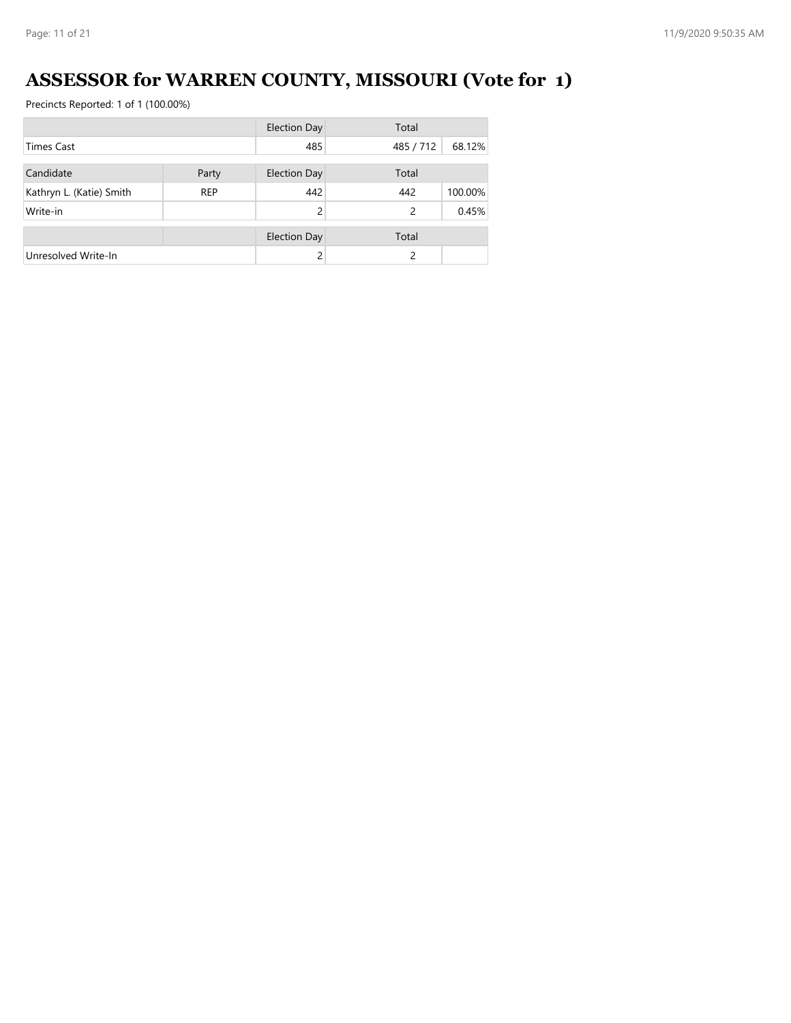# **ASSESSOR for WARREN COUNTY, MISSOURI (Vote for 1)**

|                          |            | <b>Election Day</b> | Total     |         |
|--------------------------|------------|---------------------|-----------|---------|
| <b>Times Cast</b>        |            | 485                 | 485 / 712 | 68.12%  |
|                          |            |                     |           |         |
| Candidate                | Party      | <b>Election Day</b> | Total     |         |
| Kathryn L. (Katie) Smith | <b>REP</b> | 442                 | 442       | 100.00% |
| Write-in                 |            | $\mathcal{P}$       | 2         | 0.45%   |
|                          |            | <b>Election Day</b> | Total     |         |
| Unresolved Write-In      |            |                     | 2         |         |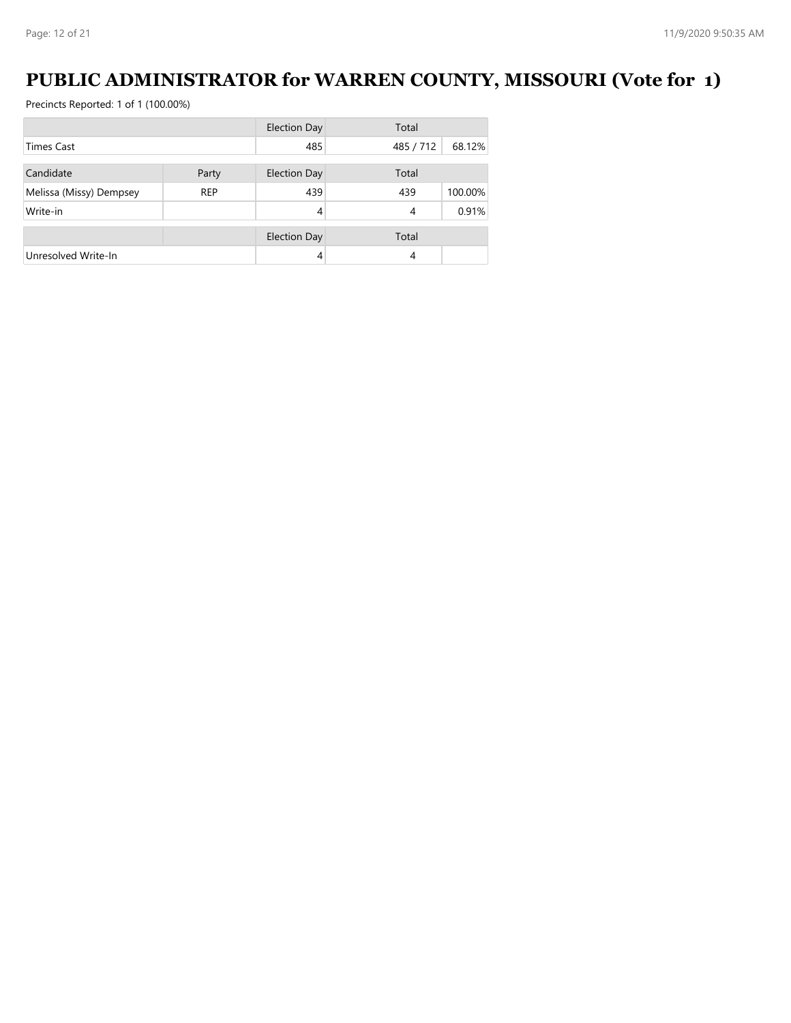## **PUBLIC ADMINISTRATOR for WARREN COUNTY, MISSOURI (Vote for 1)**

|                         |            | <b>Election Day</b> | Total     |         |
|-------------------------|------------|---------------------|-----------|---------|
| <b>Times Cast</b>       |            | 485                 | 485 / 712 | 68.12%  |
| Candidate               |            | <b>Election Day</b> | Total     |         |
|                         | Party      |                     |           |         |
| Melissa (Missy) Dempsey | <b>REP</b> | 439                 | 439       | 100.00% |
| Write-in                |            | 4                   | 4         | 0.91%   |
|                         |            | <b>Election Day</b> | Total     |         |
|                         |            |                     |           |         |
| Unresolved Write-In     |            | 4                   | 4         |         |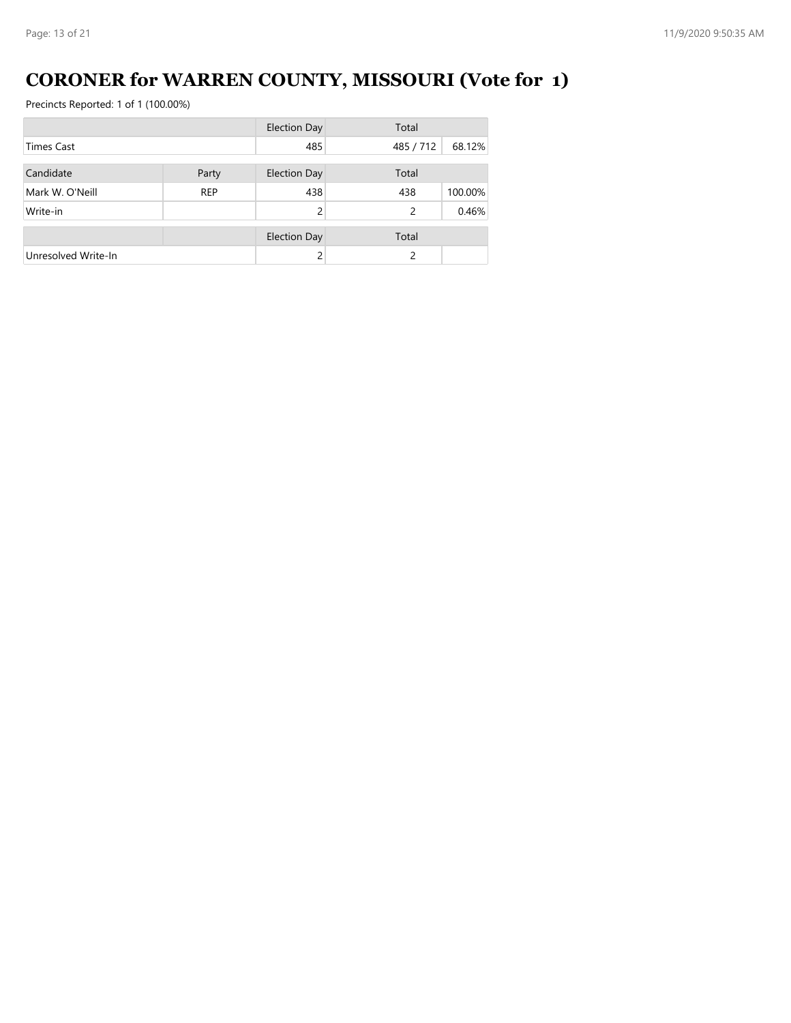# **CORONER for WARREN COUNTY, MISSOURI (Vote for 1)**

|                     |            | <b>Election Day</b> | Total     |         |
|---------------------|------------|---------------------|-----------|---------|
| <b>Times Cast</b>   |            | 485                 | 485 / 712 | 68.12%  |
|                     |            |                     |           |         |
| Candidate           | Party      | <b>Election Day</b> | Total     |         |
| Mark W. O'Neill     | <b>REP</b> | 438                 | 438       | 100.00% |
| Write-in            |            | $\mathcal{P}$       | 2         | 0.46%   |
|                     |            | <b>Election Day</b> | Total     |         |
| Unresolved Write-In |            |                     | 2         |         |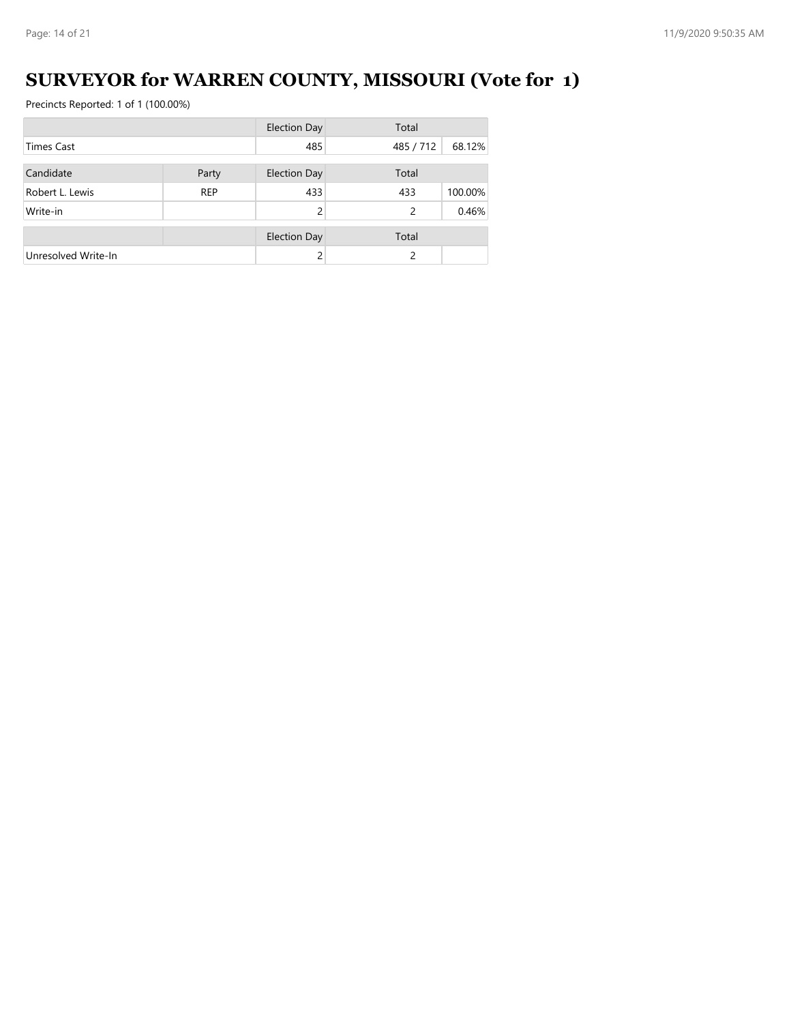## **SURVEYOR for WARREN COUNTY, MISSOURI (Vote for 1)**

|                     |            | <b>Election Day</b> | Total          |        |
|---------------------|------------|---------------------|----------------|--------|
| <b>Times Cast</b>   |            | 485                 | 485 / 712      | 68.12% |
| Candidate           |            |                     |                |        |
|                     | Party      | <b>Election Day</b> | Total          |        |
| Robert L. Lewis     | <b>REP</b> | 433                 | 100.00%<br>433 |        |
| Write-in            |            | $\mathcal{P}$       | 2              | 0.46%  |
|                     |            | <b>Election Day</b> | Total          |        |
|                     |            |                     |                |        |
| Unresolved Write-In |            |                     | 2              |        |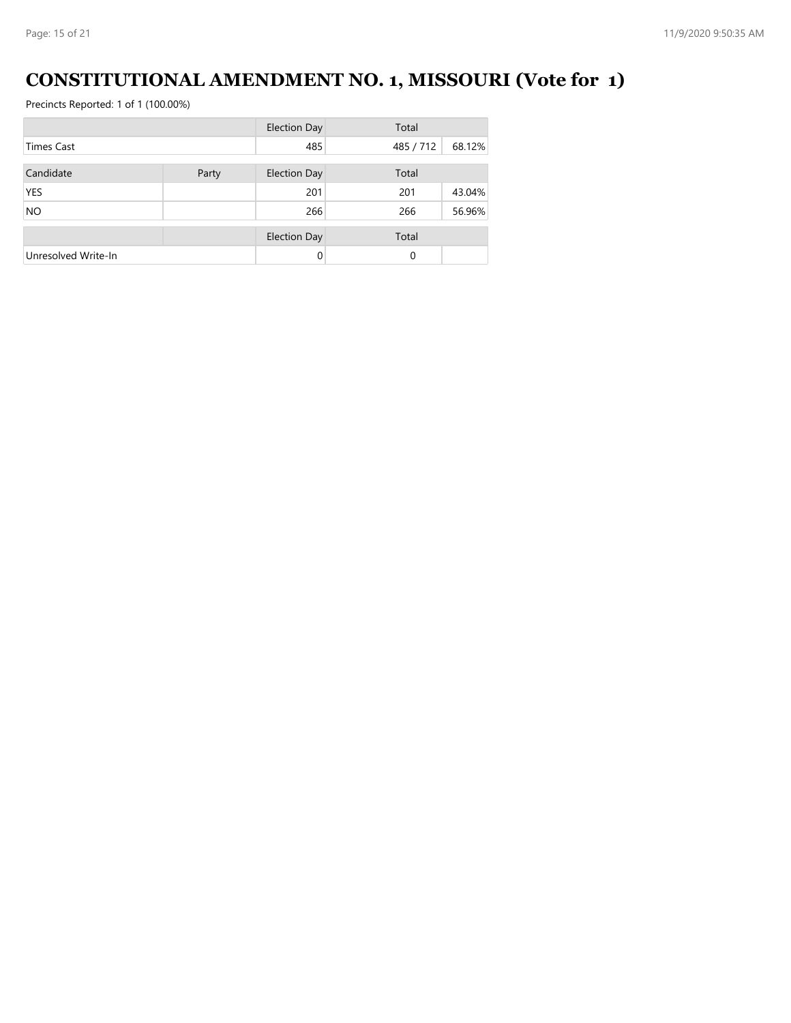## **CONSTITUTIONAL AMENDMENT NO. 1, MISSOURI (Vote for 1)**

|                     |                              | <b>Election Day</b> | Total     |        |  |
|---------------------|------------------------------|---------------------|-----------|--------|--|
| <b>Times Cast</b>   |                              | 485                 | 485 / 712 | 68.12% |  |
| Candidate           | <b>Election Day</b><br>Party |                     | Total     |        |  |
| <b>YES</b>          |                              | 201                 | 201       | 43.04% |  |
| <b>NO</b>           |                              | 266                 | 266       | 56.96% |  |
|                     |                              | <b>Election Day</b> | Total     |        |  |
| Unresolved Write-In |                              | $\Omega$            | $\Omega$  |        |  |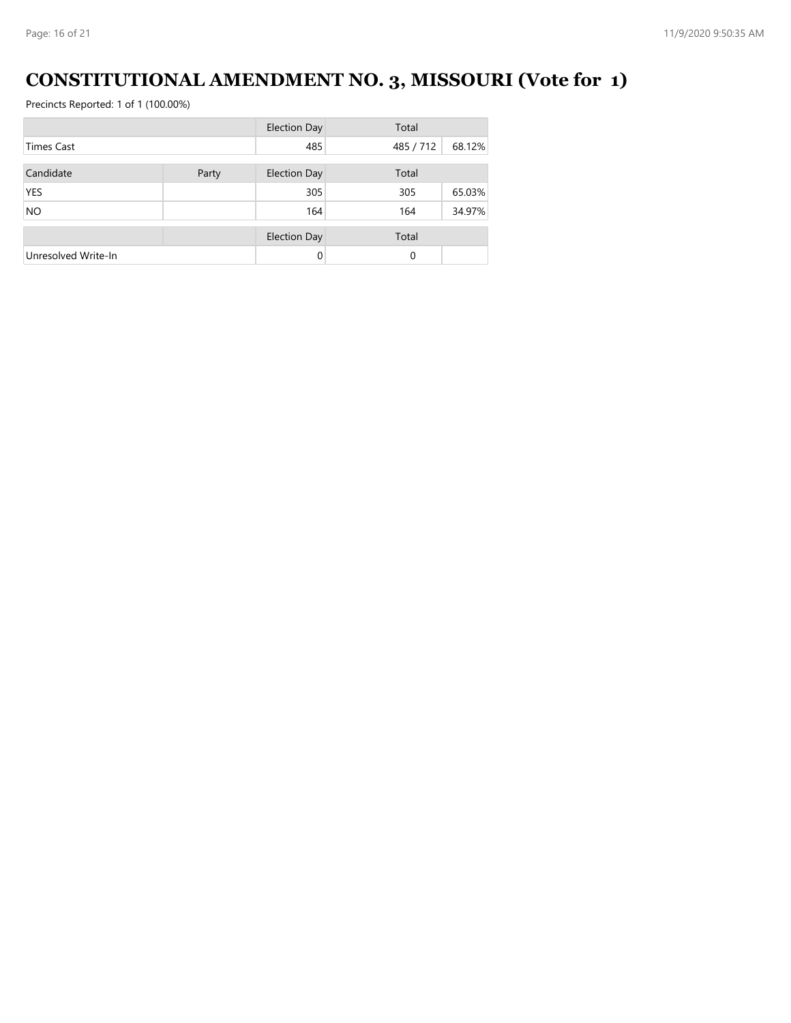# **CONSTITUTIONAL AMENDMENT NO. 3, MISSOURI (Vote for 1)**

|                     |  | <b>Election Day</b> | Total     |        |
|---------------------|--|---------------------|-----------|--------|
| <b>Times Cast</b>   |  | 485                 | 485 / 712 | 68.12% |
| Candidate<br>Party  |  | <b>Election Day</b> | Total     |        |
| <b>YES</b>          |  | 305                 | 305       | 65.03% |
| <b>NO</b>           |  | 164                 | 164       | 34.97% |
|                     |  | <b>Election Day</b> | Total     |        |
| Unresolved Write-In |  | 0                   | $\Omega$  |        |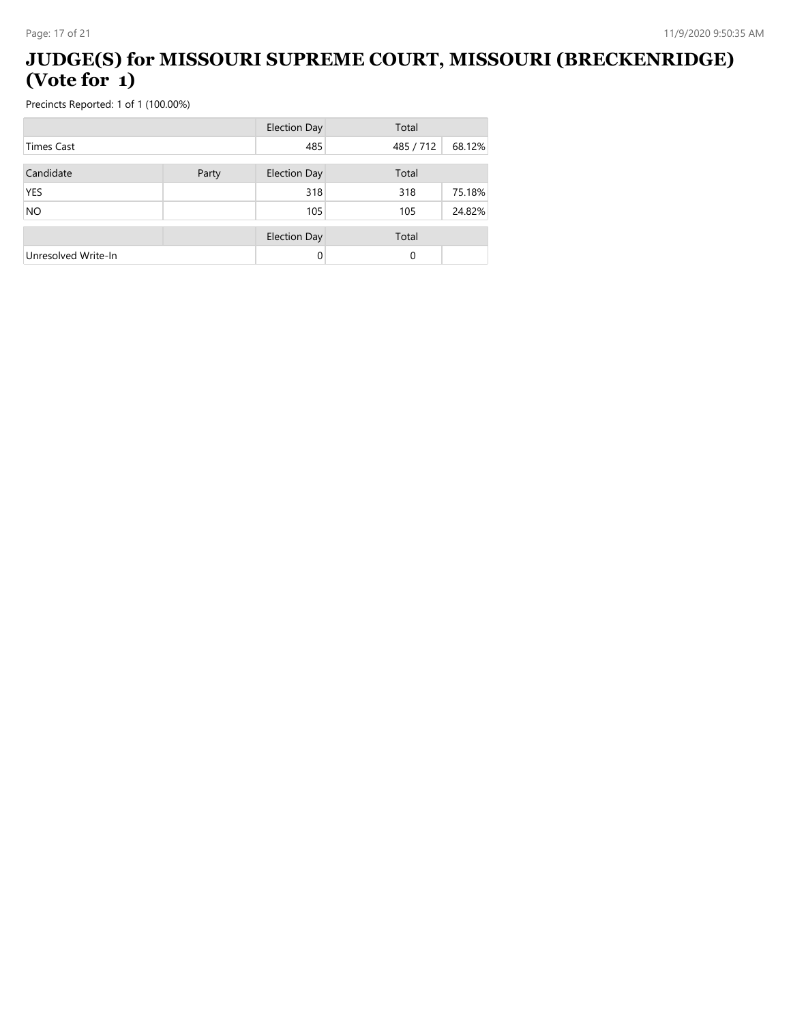### **JUDGE(S) for MISSOURI SUPREME COURT, MISSOURI (BRECKENRIDGE) (Vote for 1)**

|                     |       | <b>Election Day</b> | Total     |        |
|---------------------|-------|---------------------|-----------|--------|
| <b>Times Cast</b>   |       | 485                 | 485 / 712 | 68.12% |
| Candidate           | Party | <b>Election Day</b> | Total     |        |
| <b>YES</b>          |       | 318                 | 318       | 75.18% |
| <b>NO</b>           |       | 105                 | 105       | 24.82% |
|                     |       | <b>Election Day</b> | Total     |        |
| Unresolved Write-In |       | 0                   | 0         |        |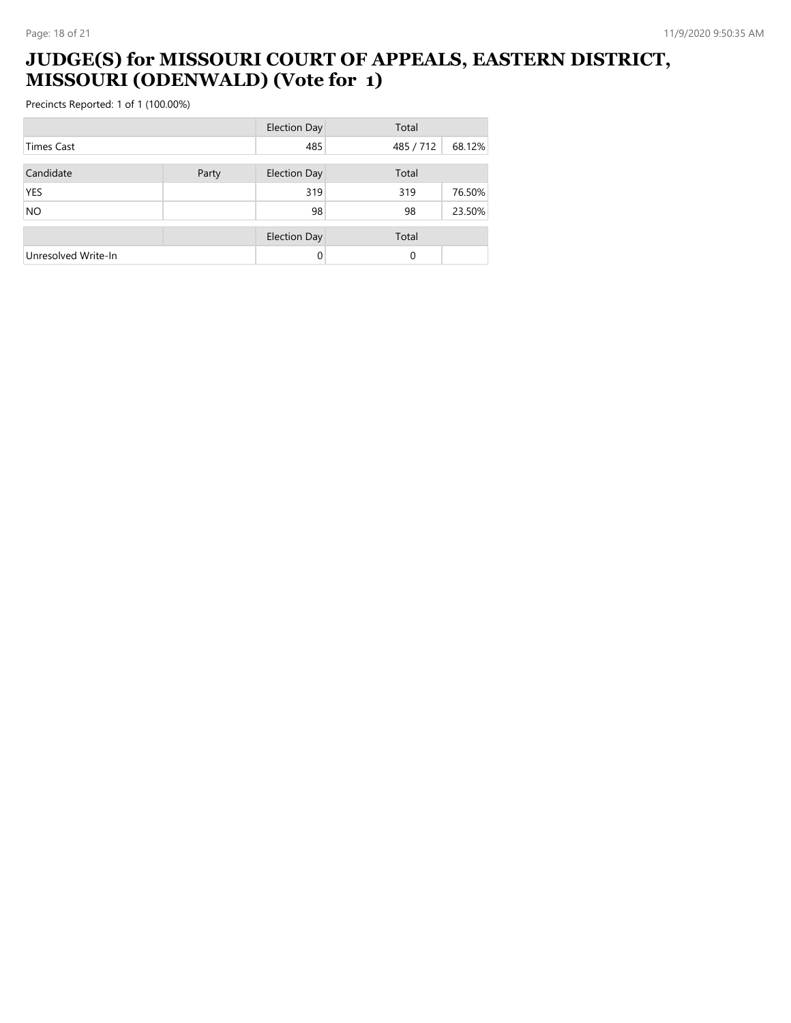### **JUDGE(S) for MISSOURI COURT OF APPEALS, EASTERN DISTRICT, MISSOURI (ODENWALD) (Vote for 1)**

|                     |       | <b>Election Day</b> | Total     |        |
|---------------------|-------|---------------------|-----------|--------|
| <b>Times Cast</b>   |       | 485                 | 485 / 712 | 68.12% |
| Candidate           | Party | <b>Election Day</b> | Total     |        |
| <b>YES</b>          |       | 319                 | 319       | 76.50% |
| <b>NO</b>           |       | 98                  | 98        | 23.50% |
|                     |       | <b>Election Day</b> | Total     |        |
| Unresolved Write-In |       | 0                   | 0         |        |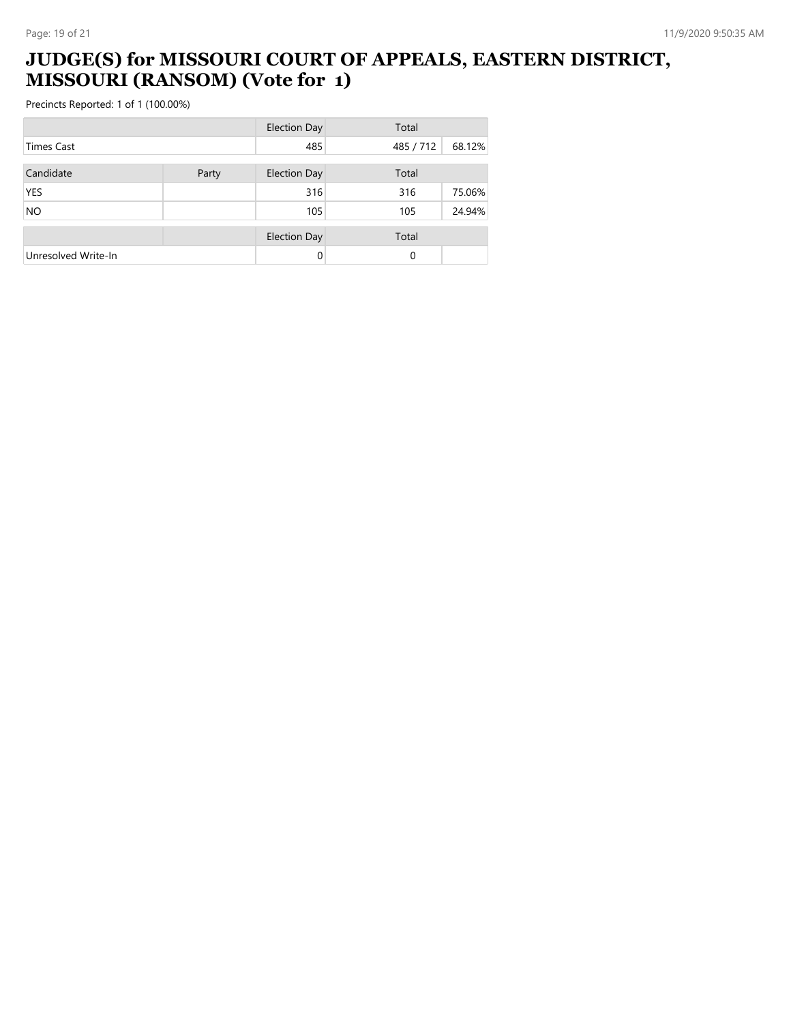### **JUDGE(S) for MISSOURI COURT OF APPEALS, EASTERN DISTRICT, MISSOURI (RANSOM) (Vote for 1)**

|                     |       | <b>Election Day</b> | Total     |        |
|---------------------|-------|---------------------|-----------|--------|
| <b>Times Cast</b>   |       | 485                 | 485 / 712 | 68.12% |
| Candidate           | Party | <b>Election Day</b> | Total     |        |
| <b>YES</b>          |       | 316                 | 316       | 75.06% |
| <b>NO</b>           |       | 105                 | 105       | 24.94% |
|                     |       | <b>Election Day</b> | Total     |        |
| Unresolved Write-In |       | $\Omega$            | 0         |        |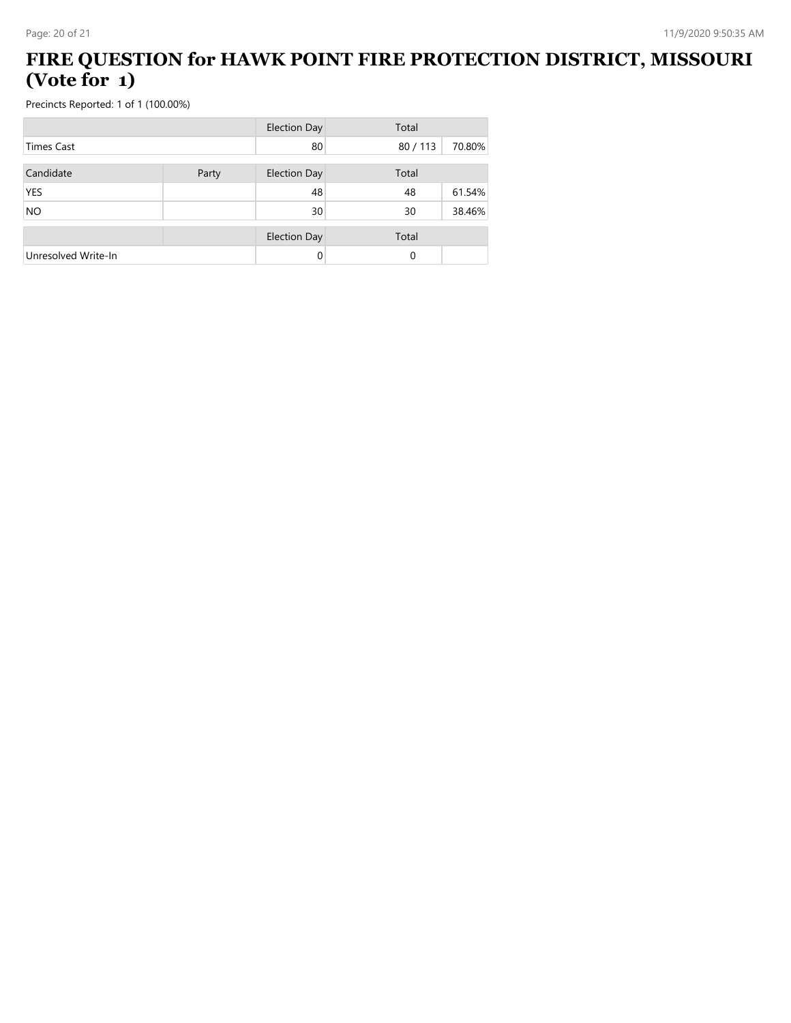### **FIRE QUESTION for HAWK POINT FIRE PROTECTION DISTRICT, MISSOURI (Vote for 1)**

|                     |       | <b>Election Day</b> | Total  |        |
|---------------------|-------|---------------------|--------|--------|
| <b>Times Cast</b>   |       | 80                  | 80/113 | 70.80% |
| Candidate           | Party | <b>Election Day</b> | Total  |        |
| <b>YES</b>          |       | 48                  | 48     | 61.54% |
| <b>NO</b>           |       | 30                  | 30     | 38.46% |
|                     |       | <b>Election Day</b> | Total  |        |
| Unresolved Write-In |       | 0                   | 0      |        |